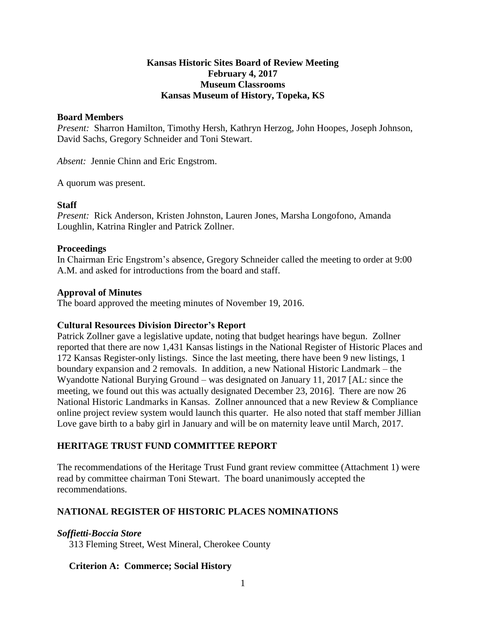# **Kansas Historic Sites Board of Review Meeting February 4, 2017 Museum Classrooms Kansas Museum of History, Topeka, KS**

#### **Board Members**

*Present:* Sharron Hamilton, Timothy Hersh, Kathryn Herzog, John Hoopes, Joseph Johnson, David Sachs, Gregory Schneider and Toni Stewart.

*Absent:* Jennie Chinn and Eric Engstrom.

A quorum was present.

## **Staff**

*Present:* Rick Anderson, Kristen Johnston, Lauren Jones, Marsha Longofono, Amanda Loughlin, Katrina Ringler and Patrick Zollner.

#### **Proceedings**

In Chairman Eric Engstrom's absence, Gregory Schneider called the meeting to order at 9:00 A.M. and asked for introductions from the board and staff.

#### **Approval of Minutes**

The board approved the meeting minutes of November 19, 2016.

## **Cultural Resources Division Director's Report**

Patrick Zollner gave a legislative update, noting that budget hearings have begun. Zollner reported that there are now 1,431 Kansas listings in the National Register of Historic Places and 172 Kansas Register-only listings. Since the last meeting, there have been 9 new listings, 1 boundary expansion and 2 removals. In addition, a new National Historic Landmark – the Wyandotte National Burying Ground – was designated on January 11, 2017 [AL: since the meeting, we found out this was actually designated December 23, 2016]. There are now 26 National Historic Landmarks in Kansas. Zollner announced that a new Review & Compliance online project review system would launch this quarter. He also noted that staff member Jillian Love gave birth to a baby girl in January and will be on maternity leave until March, 2017.

## **HERITAGE TRUST FUND COMMITTEE REPORT**

The recommendations of the Heritage Trust Fund grant review committee (Attachment 1) were read by committee chairman Toni Stewart. The board unanimously accepted the recommendations.

## **NATIONAL REGISTER OF HISTORIC PLACES NOMINATIONS**

## *Soffietti-Boccia Store*

313 Fleming Street, West Mineral, Cherokee County

## **Criterion A: Commerce; Social History**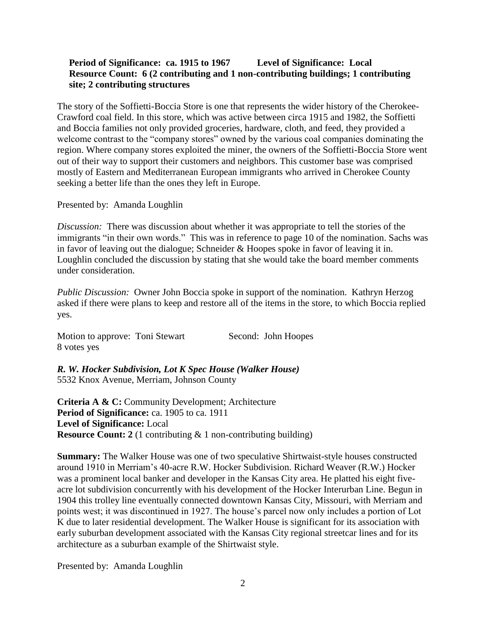# **Period of Significance: ca. 1915 to 1967 Level of Significance: Local Resource Count: 6 (2 contributing and 1 non-contributing buildings; 1 contributing site; 2 contributing structures**

The story of the Soffietti-Boccia Store is one that represents the wider history of the Cherokee-Crawford coal field. In this store, which was active between circa 1915 and 1982, the Soffietti and Boccia families not only provided groceries, hardware, cloth, and feed, they provided a welcome contrast to the "company stores" owned by the various coal companies dominating the region. Where company stores exploited the miner, the owners of the Soffietti-Boccia Store went out of their way to support their customers and neighbors. This customer base was comprised mostly of Eastern and Mediterranean European immigrants who arrived in Cherokee County seeking a better life than the ones they left in Europe.

Presented by: Amanda Loughlin

*Discussion:* There was discussion about whether it was appropriate to tell the stories of the immigrants "in their own words." This was in reference to page 10 of the nomination. Sachs was in favor of leaving out the dialogue; Schneider & Hoopes spoke in favor of leaving it in. Loughlin concluded the discussion by stating that she would take the board member comments under consideration.

*Public Discussion:* Owner John Boccia spoke in support of the nomination. Kathryn Herzog asked if there were plans to keep and restore all of the items in the store, to which Boccia replied yes.

Motion to approve: Toni Stewart Second: John Hoopes 8 votes yes

*R. W. Hocker Subdivision, Lot K Spec House (Walker House)* 5532 Knox Avenue, Merriam, Johnson County

**Criteria A & C:** Community Development; Architecture Period of Significance: ca. 1905 to ca. 1911 **Level of Significance:** Local **Resource Count:** 2 (1 contributing & 1 non-contributing building)

**Summary:** The Walker House was one of two speculative Shirtwaist-style houses constructed around 1910 in Merriam's 40-acre R.W. Hocker Subdivision. Richard Weaver (R.W.) Hocker was a prominent local banker and developer in the Kansas City area. He platted his eight fiveacre lot subdivision concurrently with his development of the Hocker Interurban Line. Begun in 1904 this trolley line eventually connected downtown Kansas City, Missouri, with Merriam and points west; it was discontinued in 1927. The house's parcel now only includes a portion of Lot K due to later residential development. The Walker House is significant for its association with early suburban development associated with the Kansas City regional streetcar lines and for its architecture as a suburban example of the Shirtwaist style.

Presented by: Amanda Loughlin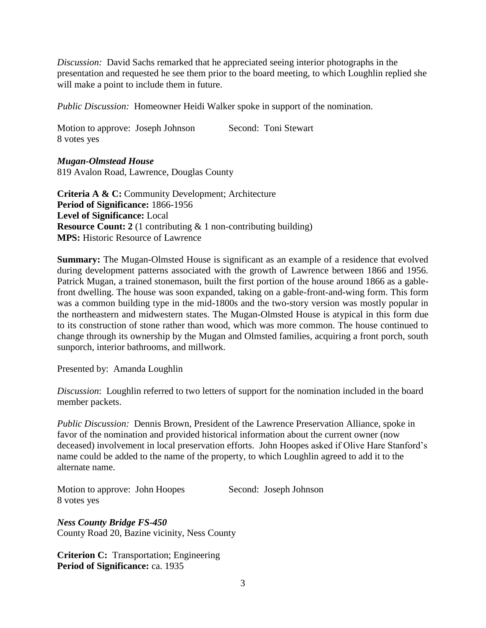*Discussion:* David Sachs remarked that he appreciated seeing interior photographs in the presentation and requested he see them prior to the board meeting, to which Loughlin replied she will make a point to include them in future.

*Public Discussion:* Homeowner Heidi Walker spoke in support of the nomination.

Motion to approve: Joseph Johnson Second: Toni Stewart 8 votes yes

*Mugan-Olmstead House*

819 Avalon Road, Lawrence, Douglas County

**Criteria A & C:** Community Development; Architecture **Period of Significance:** 1866-1956 **Level of Significance:** Local **Resource Count:** 2 (1 contributing & 1 non-contributing building) **MPS:** Historic Resource of Lawrence

**Summary:** The Mugan-Olmsted House is significant as an example of a residence that evolved during development patterns associated with the growth of Lawrence between 1866 and 1956. Patrick Mugan, a trained stonemason, built the first portion of the house around 1866 as a gablefront dwelling. The house was soon expanded, taking on a gable-front-and-wing form. This form was a common building type in the mid-1800s and the two-story version was mostly popular in the northeastern and midwestern states. The Mugan-Olmsted House is atypical in this form due to its construction of stone rather than wood, which was more common. The house continued to change through its ownership by the Mugan and Olmsted families, acquiring a front porch, south sunporch, interior bathrooms, and millwork.

Presented by: Amanda Loughlin

*Discussion*: Loughlin referred to two letters of support for the nomination included in the board member packets.

*Public Discussion:* Dennis Brown, President of the Lawrence Preservation Alliance, spoke in favor of the nomination and provided historical information about the current owner (now deceased) involvement in local preservation efforts. John Hoopes asked if Olive Hare Stanford's name could be added to the name of the property, to which Loughlin agreed to add it to the alternate name.

Motion to approve: John Hoopes Second: Joseph Johnson 8 votes yes

*Ness County Bridge FS-450* County Road 20, Bazine vicinity, Ness County

**Criterion C:** Transportation; Engineering Period of Significance: ca. 1935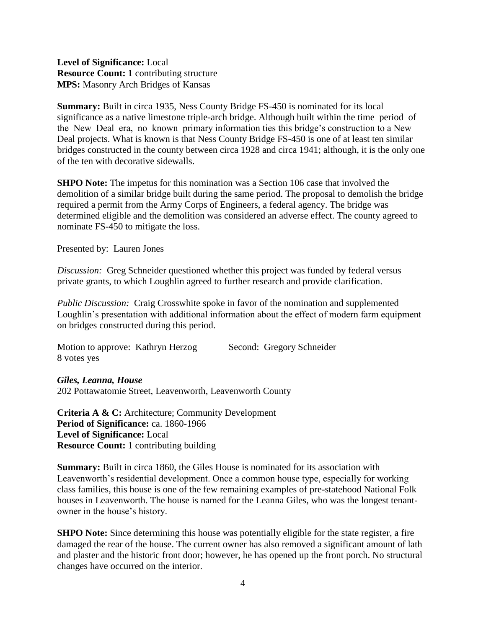**Level of Significance:** Local **Resource Count: 1** contributing structure **MPS:** Masonry Arch Bridges of Kansas

**Summary:** Built in circa 1935, Ness County Bridge FS-450 is nominated for its local significance as a native limestone triple-arch bridge. Although built within the time period of the New Deal era, no known primary information ties this bridge's construction to a New Deal projects. What is known is that Ness County Bridge FS-450 is one of at least ten similar bridges constructed in the county between circa 1928 and circa 1941; although, it is the only one of the ten with decorative sidewalls.

**SHPO Note:** The impetus for this nomination was a Section 106 case that involved the demolition of a similar bridge built during the same period. The proposal to demolish the bridge required a permit from the Army Corps of Engineers, a federal agency. The bridge was determined eligible and the demolition was considered an adverse effect. The county agreed to nominate FS-450 to mitigate the loss.

Presented by: Lauren Jones

*Discussion:* Greg Schneider questioned whether this project was funded by federal versus private grants, to which Loughlin agreed to further research and provide clarification.

*Public Discussion:* Craig Crosswhite spoke in favor of the nomination and supplemented Loughlin's presentation with additional information about the effect of modern farm equipment on bridges constructed during this period.

| Motion to approve: Kathryn Herzog |  | Second: Gregory Schneider |
|-----------------------------------|--|---------------------------|
| 8 votes yes                       |  |                           |

*Giles, Leanna, House* 202 Pottawatomie Street, Leavenworth, Leavenworth County

**Criteria A & C:** Architecture; Community Development **Period of Significance:** ca. 1860-1966 **Level of Significance:** Local **Resource Count:** 1 contributing building

**Summary:** Built in circa 1860, the Giles House is nominated for its association with Leavenworth's residential development. Once a common house type, especially for working class families, this house is one of the few remaining examples of pre-statehood National Folk houses in Leavenworth. The house is named for the Leanna Giles, who was the longest tenantowner in the house's history.

**SHPO Note:** Since determining this house was potentially eligible for the state register, a fire damaged the rear of the house. The current owner has also removed a significant amount of lath and plaster and the historic front door; however, he has opened up the front porch. No structural changes have occurred on the interior.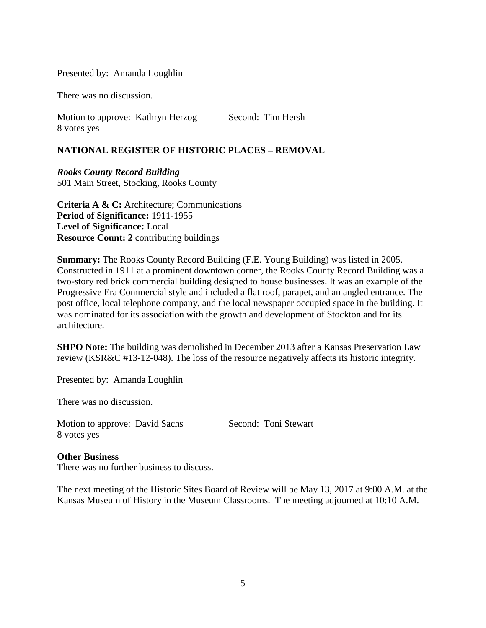#### Presented by: Amanda Loughlin

There was no discussion.

Motion to approve: Kathryn Herzog Second: Tim Hersh 8 votes yes

# **NATIONAL REGISTER OF HISTORIC PLACES – REMOVAL**

*Rooks County Record Building* 501 Main Street, Stocking, Rooks County

**Criteria A & C:** Architecture; Communications **Period of Significance:** 1911-1955 **Level of Significance:** Local **Resource Count: 2** contributing buildings

**Summary:** The Rooks County Record Building (F.E. Young Building) was listed in 2005. Constructed in 1911 at a prominent downtown corner, the Rooks County Record Building was a two-story red brick commercial building designed to house businesses. It was an example of the Progressive Era Commercial style and included a flat roof, parapet, and an angled entrance. The post office, local telephone company, and the local newspaper occupied space in the building. It was nominated for its association with the growth and development of Stockton and for its architecture.

**SHPO Note:** The building was demolished in December 2013 after a Kansas Preservation Law review (KSR&C #13-12-048). The loss of the resource negatively affects its historic integrity.

Presented by: Amanda Loughlin

There was no discussion.

Motion to approve: David Sachs Second: Toni Stewart 8 votes yes

#### **Other Business**

There was no further business to discuss.

The next meeting of the Historic Sites Board of Review will be May 13, 2017 at 9:00 A.M. at the Kansas Museum of History in the Museum Classrooms. The meeting adjourned at 10:10 A.M.